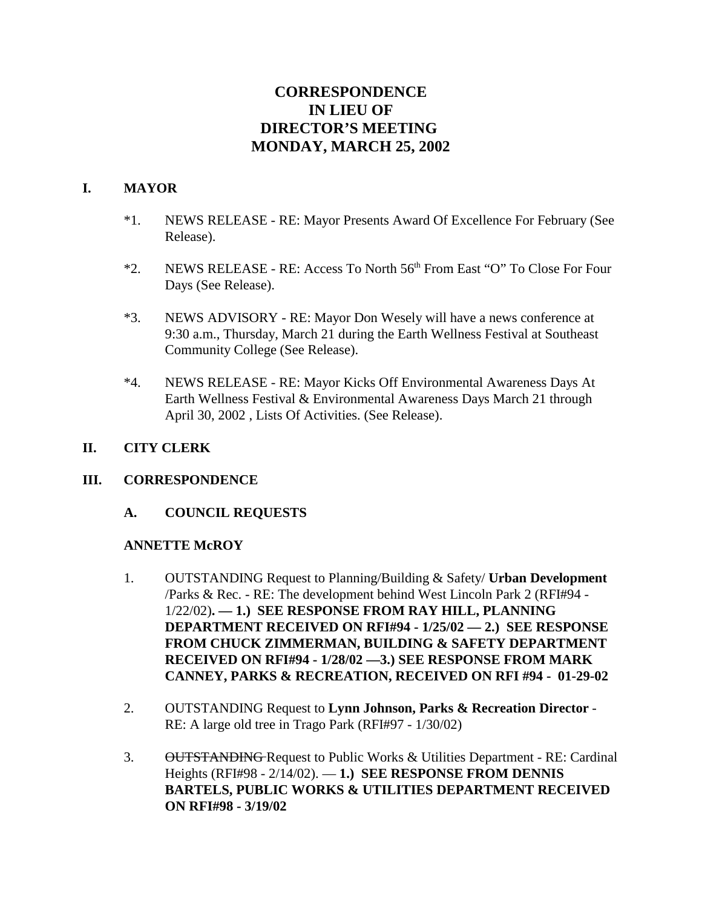# **CORRESPONDENCE IN LIEU OF DIRECTOR'S MEETING MONDAY, MARCH 25, 2002**

#### **I. MAYOR**

- \*1. NEWS RELEASE RE: Mayor Presents Award Of Excellence For February (See Release).
- \*2. NEWS RELEASE RE: Access To North 56th From East "O" To Close For Four Days (See Release).
- \*3. NEWS ADVISORY RE: Mayor Don Wesely will have a news conference at 9:30 a.m., Thursday, March 21 during the Earth Wellness Festival at Southeast Community College (See Release).
- \*4. NEWS RELEASE RE: Mayor Kicks Off Environmental Awareness Days At Earth Wellness Festival & Environmental Awareness Days March 21 through April 30, 2002 , Lists Of Activities. (See Release).

#### **II. CITY CLERK**

#### **III. CORRESPONDENCE**

**A. COUNCIL REQUESTS**

#### **ANNETTE McROY**

- 1. OUTSTANDING Request to Planning/Building & Safety/ **Urban Development** /Parks & Rec. - RE: The development behind West Lincoln Park 2 (RFI#94 - 1/22/02)**. — 1.) SEE RESPONSE FROM RAY HILL, PLANNING DEPARTMENT RECEIVED ON RFI#94 - 1/25/02 — 2.) SEE RESPONSE FROM CHUCK ZIMMERMAN, BUILDING & SAFETY DEPARTMENT RECEIVED ON RFI#94 - 1/28/02 —3.) SEE RESPONSE FROM MARK CANNEY, PARKS & RECREATION, RECEIVED ON RFI #94 - 01-29-02**
- 2. OUTSTANDING Request to **Lynn Johnson, Parks & Recreation Director** RE: A large old tree in Trago Park (RFI#97 - 1/30/02)
- 3. OUTSTANDING Request to Public Works & Utilities Department RE: Cardinal Heights (RFI#98 - 2/14/02). — **1.) SEE RESPONSE FROM DENNIS BARTELS, PUBLIC WORKS & UTILITIES DEPARTMENT RECEIVED ON RFI#98 - 3/19/02**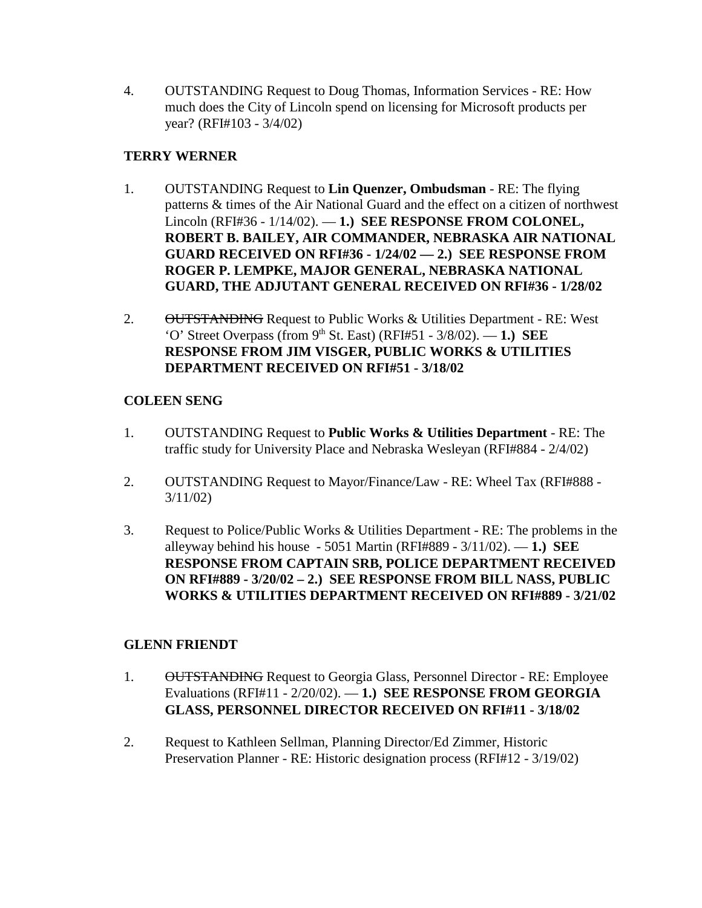4. OUTSTANDING Request to Doug Thomas, Information Services - RE: How much does the City of Lincoln spend on licensing for Microsoft products per year? (RFI#103 - 3/4/02)

### **TERRY WERNER**

- 1. OUTSTANDING Request to **Lin Quenzer, Ombudsman** RE: The flying patterns & times of the Air National Guard and the effect on a citizen of northwest Lincoln (RFI#36 - 1/14/02). — **1.) SEE RESPONSE FROM COLONEL, ROBERT B. BAILEY, AIR COMMANDER, NEBRASKA AIR NATIONAL GUARD RECEIVED ON RFI#36 - 1/24/02 — 2.) SEE RESPONSE FROM ROGER P. LEMPKE, MAJOR GENERAL, NEBRASKA NATIONAL GUARD, THE ADJUTANT GENERAL RECEIVED ON RFI#36 - 1/28/02**
- 2. OUTSTANDING Request to Public Works & Utilities Department RE: West 'O' Street Overpass (from  $9<sup>th</sup>$  St. East) (RFI#51 - 3/8/02). - 1.) SEE **RESPONSE FROM JIM VISGER, PUBLIC WORKS & UTILITIES DEPARTMENT RECEIVED ON RFI#51 - 3/18/02**

### **COLEEN SENG**

- 1. OUTSTANDING Request to **Public Works & Utilities Department** RE: The traffic study for University Place and Nebraska Wesleyan (RFI#884 - 2/4/02)
- 2. OUTSTANDING Request to Mayor/Finance/Law RE: Wheel Tax (RFI#888 3/11/02)
- 3. Request to Police/Public Works & Utilities Department RE: The problems in the alleyway behind his house - 5051 Martin (RFI#889 - 3/11/02). — **1.) SEE RESPONSE FROM CAPTAIN SRB, POLICE DEPARTMENT RECEIVED ON RFI#889 - 3/20/02 – 2.) SEE RESPONSE FROM BILL NASS, PUBLIC WORKS & UTILITIES DEPARTMENT RECEIVED ON RFI#889 - 3/21/02**

# **GLENN FRIENDT**

- 1. OUTSTANDING Request to Georgia Glass, Personnel Director RE: Employee Evaluations (RFI#11 - 2/20/02). — **1.) SEE RESPONSE FROM GEORGIA GLASS, PERSONNEL DIRECTOR RECEIVED ON RFI#11 - 3/18/02**
- 2. Request to Kathleen Sellman, Planning Director/Ed Zimmer, Historic Preservation Planner - RE: Historic designation process (RFI#12 - 3/19/02)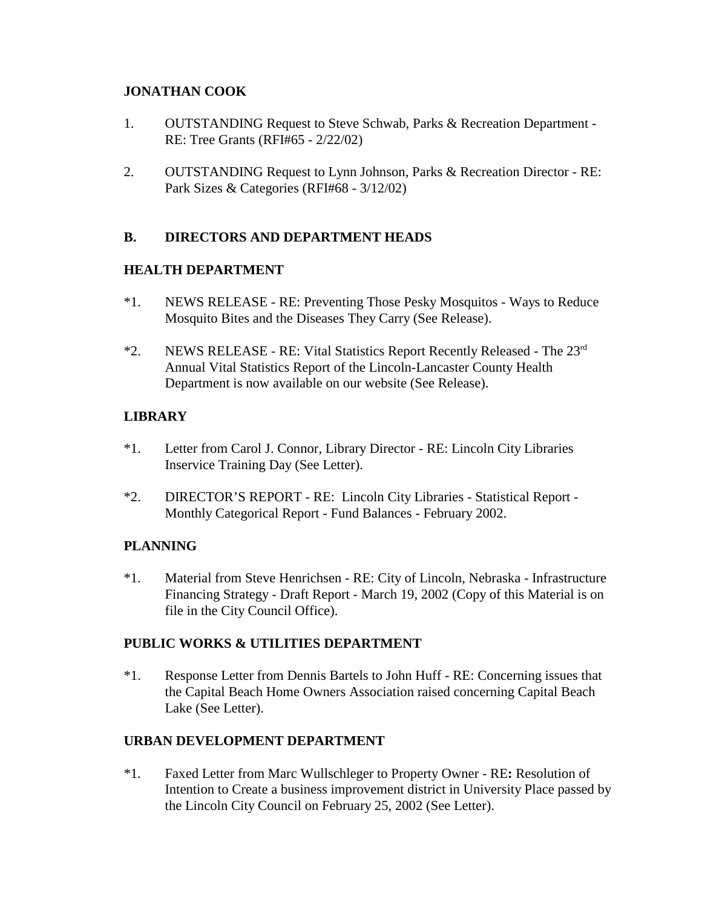#### **JONATHAN COOK**

- 1. OUTSTANDING Request to Steve Schwab, Parks & Recreation Department RE: Tree Grants (RFI#65 - 2/22/02)
- 2. OUTSTANDING Request to Lynn Johnson, Parks & Recreation Director RE: Park Sizes & Categories (RFI#68 - 3/12/02)

### **B. DIRECTORS AND DEPARTMENT HEADS**

#### **HEALTH DEPARTMENT**

- \*1. NEWS RELEASE RE: Preventing Those Pesky Mosquitos Ways to Reduce Mosquito Bites and the Diseases They Carry (See Release).
- \*2. NEWS RELEASE RE: Vital Statistics Report Recently Released The 23rd Annual Vital Statistics Report of the Lincoln-Lancaster County Health Department is now available on our website (See Release).

### **LIBRARY**

- \*1. Letter from Carol J. Connor, Library Director RE: Lincoln City Libraries Inservice Training Day (See Letter).
- \*2. DIRECTOR'S REPORT RE: Lincoln City Libraries Statistical Report Monthly Categorical Report - Fund Balances - February 2002.

# **PLANNING**

\*1. Material from Steve Henrichsen - RE: City of Lincoln, Nebraska - Infrastructure Financing Strategy - Draft Report - March 19, 2002 (Copy of this Material is on file in the City Council Office).

# **PUBLIC WORKS & UTILITIES DEPARTMENT**

\*1. Response Letter from Dennis Bartels to John Huff - RE: Concerning issues that the Capital Beach Home Owners Association raised concerning Capital Beach Lake (See Letter).

# **URBAN DEVELOPMENT DEPARTMENT**

\*1. Faxed Letter from Marc Wullschleger to Property Owner - RE**:** Resolution of Intention to Create a business improvement district in University Place passed by the Lincoln City Council on February 25, 2002 (See Letter).